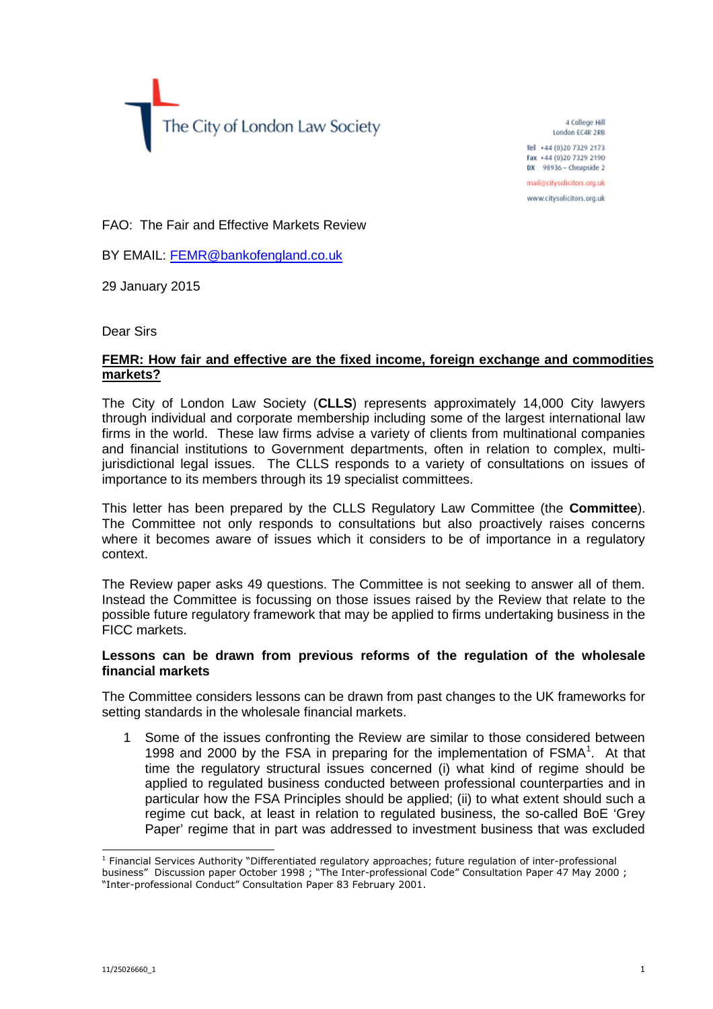The City of London Law Society

4 College Hill London EC4R 2RB

Tel +44 (0)20 7329 2173 Fax +44 (0)20 7329 2190 DX 98936 - Cheapside 2

mail@citysolicitors.org.uk

www.citysolicitors.org.uk

FAO: The Fair and Effective Markets Review

BY EMAIL: [FEMR@bankofengland.co.uk](mailto:FEMR@bankofengland.co.uk)

29 January 2015

Dear Sirs

## **FEMR: How fair and effective are the fixed income, foreign exchange and commodities markets?**

The City of London Law Society (**CLLS**) represents approximately 14,000 City lawyers through individual and corporate membership including some of the largest international law firms in the world. These law firms advise a variety of clients from multinational companies and financial institutions to Government departments, often in relation to complex, multijurisdictional legal issues. The CLLS responds to a variety of consultations on issues of importance to its members through its 19 specialist committees.

This letter has been prepared by the CLLS Regulatory Law Committee (the **Committee**). The Committee not only responds to consultations but also proactively raises concerns where it becomes aware of issues which it considers to be of importance in a regulatory context.

The Review paper asks 49 questions. The Committee is not seeking to answer all of them. Instead the Committee is focussing on those issues raised by the Review that relate to the possible future regulatory framework that may be applied to firms undertaking business in the FICC markets.

## **Lessons can be drawn from previous reforms of the regulation of the wholesale financial markets**

The Committee considers lessons can be drawn from past changes to the UK frameworks for setting standards in the wholesale financial markets.

1 Some of the issues confronting the Review are similar to those considered between 1998 and 2000 by the FSA in preparing for the implementation of  $FSMA<sup>1</sup>$ [.](#page-0-0) At that time the regulatory structural issues concerned (i) what kind of regime should be applied to regulated business conducted between professional counterparties and in particular how the FSA Principles should be applied; (ii) to what extent should such a regime cut back, at least in relation to regulated business, the so-called BoE 'Grey Paper' regime that in part was addressed to investment business that was excluded

<span id="page-0-0"></span><sup>&</sup>lt;sup>1</sup> Financial Services Authority "Differentiated regulatory approaches; future regulation of inter-professional business" Discussion paper October 1998 ; "The Inter-professional Code" Consultation Paper 47 May 2000 ; "Inter-professional Conduct" Consultation Paper 83 February 2001.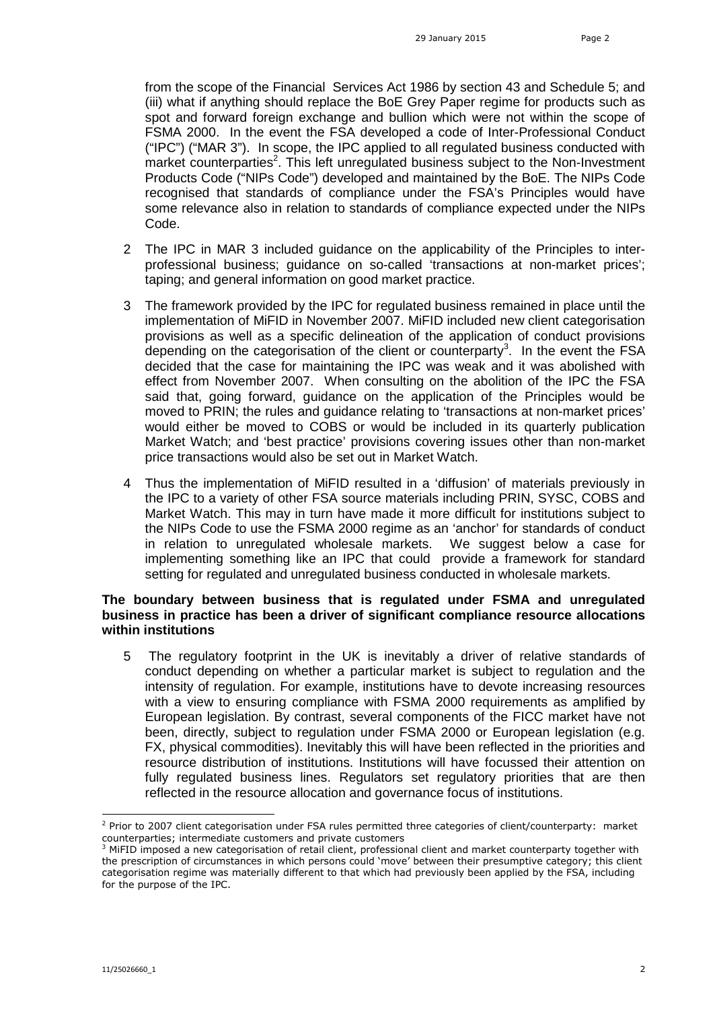from the scope of the Financial Services Act 1986 by section 43 and Schedule 5; and (iii) what if anything should replace the BoE Grey Paper regime for products such as spot and forward foreign exchange and bullion which were not within the scope of FSMA 2000. In the event the FSA developed a code of Inter-Professional Conduct ("IPC") ("MAR 3"). In scope, the IPC applied to all regulated business conducted with market counterparties<sup>2</sup>[.](#page-1-0) This left unregulated business subject to the Non-Investment Products Code ("NIPs Code") developed and maintained by the BoE. The NIPs Code recognised that standards of compliance under the FSA's Principles would have some relevance also in relation to standards of compliance expected under the NIPs Code.

- 2 The IPC in MAR 3 included guidance on the applicability of the Principles to interprofessional business; guidance on so-called 'transactions at non-market prices'; taping; and general information on good market practice.
- 3 The framework provided by the IPC for regulated business remained in place until the implementation of MiFID in November 2007. MiFID included new client categorisation provisions as well as a specific delineation of the application of conduct provisions depending on the categorisation of the client or counterparty<sup>3</sup>[.](#page-1-1) In the event the FSA decided that the case for maintaining the IPC was weak and it was abolished with effect from November 2007. When consulting on the abolition of the IPC the FSA said that, going forward, guidance on the application of the Principles would be moved to PRIN; the rules and guidance relating to 'transactions at non-market prices' would either be moved to COBS or would be included in its quarterly publication Market Watch; and 'best practice' provisions covering issues other than non-market price transactions would also be set out in Market Watch.
- 4 Thus the implementation of MiFID resulted in a 'diffusion' of materials previously in the IPC to a variety of other FSA source materials including PRIN, SYSC, COBS and Market Watch. This may in turn have made it more difficult for institutions subject to the NIPs Code to use the FSMA 2000 regime as an 'anchor' for standards of conduct in relation to unregulated wholesale markets. We suggest below a case for implementing something like an IPC that could provide a framework for standard setting for regulated and unregulated business conducted in wholesale markets.

## **The boundary between business that is regulated under FSMA and unregulated business in practice has been a driver of significant compliance resource allocations within institutions**

5 The regulatory footprint in the UK is inevitably a driver of relative standards of conduct depending on whether a particular market is subject to regulation and the intensity of regulation. For example, institutions have to devote increasing resources with a view to ensuring compliance with FSMA 2000 requirements as amplified by European legislation. By contrast, several components of the FICC market have not been, directly, subject to regulation under FSMA 2000 or European legislation (e.g. FX, physical commodities). Inevitably this will have been reflected in the priorities and resource distribution of institutions. Institutions will have focussed their attention on fully regulated business lines. Regulators set regulatory priorities that are then reflected in the resource allocation and governance focus of institutions.

<span id="page-1-0"></span><sup>&</sup>lt;sup>2</sup> Prior to 2007 client categorisation under FSA rules permitted three categories of client/counterparty: market counterparties; intermediate customers and private customers

<span id="page-1-1"></span><sup>3</sup> MiFID imposed a new categorisation of retail client, professional client and market counterparty together with the prescription of circumstances in which persons could 'move' between their presumptive category; this client categorisation regime was materially different to that which had previously been applied by the FSA, including for the purpose of the IPC.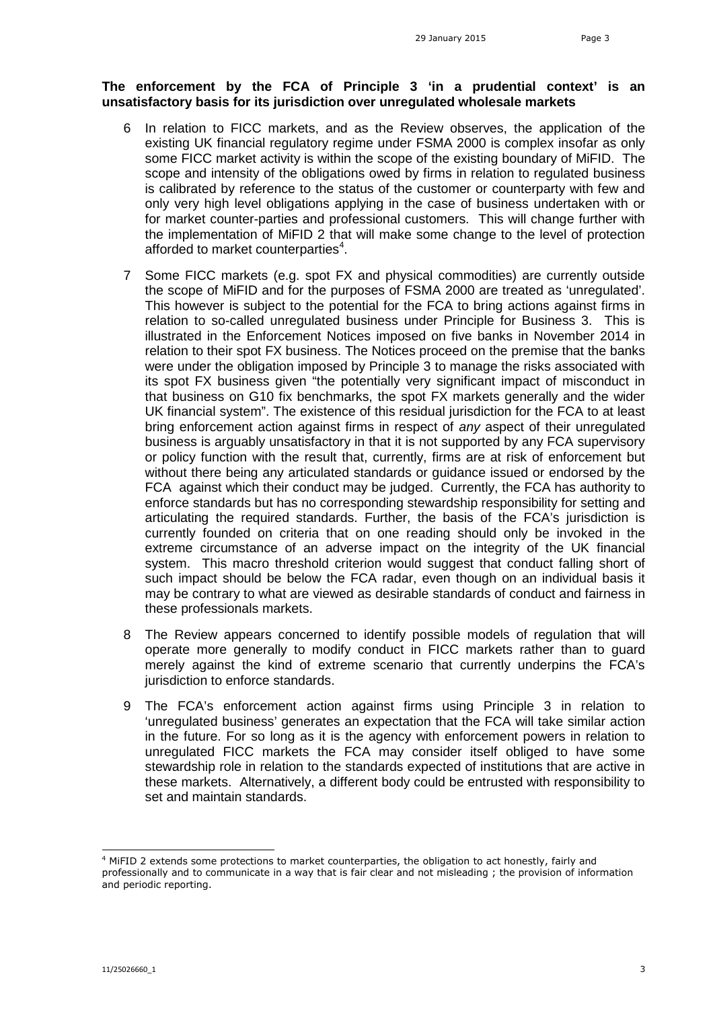## **The enforcement by the FCA of Principle 3 'in a prudential context' is an unsatisfactory basis for its jurisdiction over unregulated wholesale markets**

- 6 In relation to FICC markets, and as the Review observes, the application of the existing UK financial regulatory regime under FSMA 2000 is complex insofar as only some FICC market activity is within the scope of the existing boundary of MiFID. The scope and intensity of the obligations owed by firms in relation to regulated business is calibrated by reference to the status of the customer or counterparty with few and only very high level obligations applying in the case of business undertaken with or for market counter-parties and professional customers. This will change further with the implementation of MiFID 2 that will make some change to the level of protection afforded to market counterparties<sup>4</sup>[.](#page-2-0)
- 7 Some FICC markets (e.g. spot FX and physical commodities) are currently outside the scope of MiFID and for the purposes of FSMA 2000 are treated as 'unregulated'. This however is subject to the potential for the FCA to bring actions against firms in relation to so-called unregulated business under Principle for Business 3. This is illustrated in the Enforcement Notices imposed on five banks in November 2014 in relation to their spot FX business. The Notices proceed on the premise that the banks were under the obligation imposed by Principle 3 to manage the risks associated with its spot FX business given "the potentially very significant impact of misconduct in that business on G10 fix benchmarks, the spot FX markets generally and the wider UK financial system". The existence of this residual jurisdiction for the FCA to at least bring enforcement action against firms in respect of *any* aspect of their unregulated business is arguably unsatisfactory in that it is not supported by any FCA supervisory or policy function with the result that, currently, firms are at risk of enforcement but without there being any articulated standards or guidance issued or endorsed by the FCA against which their conduct may be judged. Currently, the FCA has authority to enforce standards but has no corresponding stewardship responsibility for setting and articulating the required standards. Further, the basis of the FCA's jurisdiction is currently founded on criteria that on one reading should only be invoked in the extreme circumstance of an adverse impact on the integrity of the UK financial system. This macro threshold criterion would suggest that conduct falling short of such impact should be below the FCA radar, even though on an individual basis it may be contrary to what are viewed as desirable standards of conduct and fairness in these professionals markets.
- 8 The Review appears concerned to identify possible models of regulation that will operate more generally to modify conduct in FICC markets rather than to guard merely against the kind of extreme scenario that currently underpins the FCA's jurisdiction to enforce standards.
- 9 The FCA's enforcement action against firms using Principle 3 in relation to 'unregulated business' generates an expectation that the FCA will take similar action in the future. For so long as it is the agency with enforcement powers in relation to unregulated FICC markets the FCA may consider itself obliged to have some stewardship role in relation to the standards expected of institutions that are active in these markets. Alternatively, a different body could be entrusted with responsibility to set and maintain standards.

<span id="page-2-0"></span><sup>4</sup> MiFID 2 extends some protections to market counterparties, the obligation to act honestly, fairly and professionally and to communicate in a way that is fair clear and not misleading ; the provision of information and periodic reporting.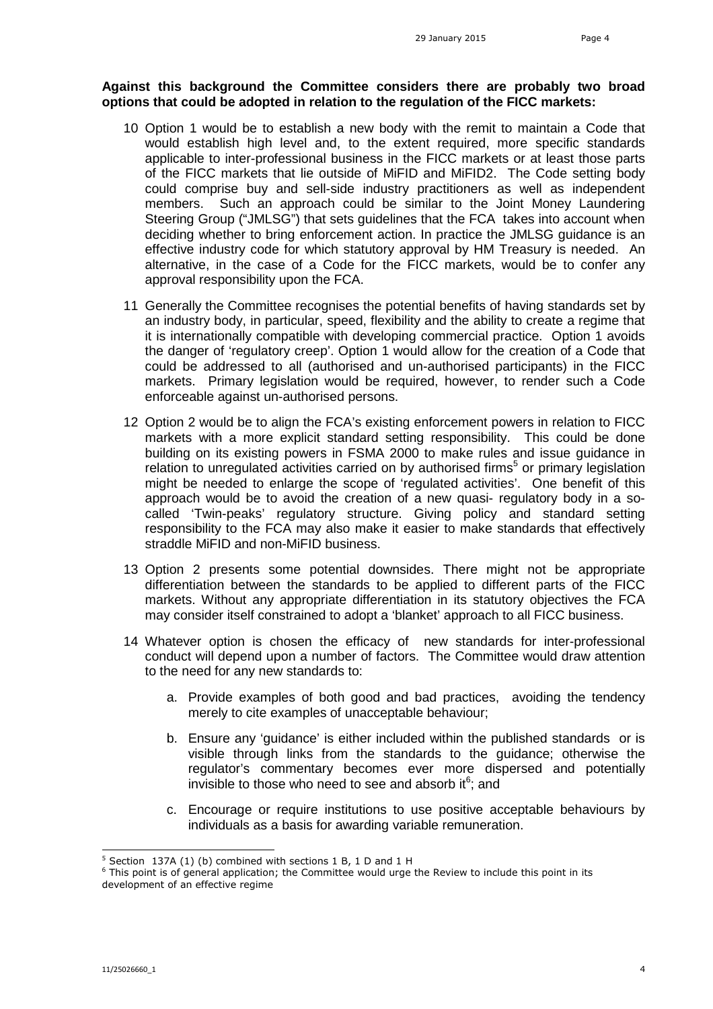## **Against this background the Committee considers there are probably two broad options that could be adopted in relation to the regulation of the FICC markets:**

- 10 Option 1 would be to establish a new body with the remit to maintain a Code that would establish high level and, to the extent required, more specific standards applicable to inter-professional business in the FICC markets or at least those parts of the FICC markets that lie outside of MiFID and MiFID2. The Code setting body could comprise buy and sell-side industry practitioners as well as independent members. Such an approach could be similar to the Joint Money Laundering Steering Group ("JMLSG") that sets guidelines that the FCA takes into account when deciding whether to bring enforcement action. In practice the JMLSG guidance is an effective industry code for which statutory approval by HM Treasury is needed. An alternative, in the case of a Code for the FICC markets, would be to confer any approval responsibility upon the FCA.
- 11 Generally the Committee recognises the potential benefits of having standards set by an industry body, in particular, speed, flexibility and the ability to create a regime that it is internationally compatible with developing commercial practice. Option 1 avoids the danger of 'regulatory creep'. Option 1 would allow for the creation of a Code that could be addressed to all (authorised and un-authorised participants) in the FICC markets. Primary legislation would be required, however, to render such a Code enforceable against un-authorised persons.
- 12 Option 2 would be to align the FCA's existing enforcement powers in relation to FICC markets with a more explicit standard setting responsibility. This could be done building on its existing powers in FSMA 2000 to make rules and issue guidance in relationto unregulated activities carried on by authorised firms<sup>5</sup> or primary legislation might be needed to enlarge the scope of 'regulated activities'. One benefit of this approach would be to avoid the creation of a new quasi- regulatory body in a socalled 'Twin-peaks' regulatory structure. Giving policy and standard setting responsibility to the FCA may also make it easier to make standards that effectively straddle MiFID and non-MiFID business.
- 13 Option 2 presents some potential downsides. There might not be appropriate differentiation between the standards to be applied to different parts of the FICC markets. Without any appropriate differentiation in its statutory objectives the FCA may consider itself constrained to adopt a 'blanket' approach to all FICC business.
- 14 Whatever option is chosen the efficacy of new standards for inter-professional conduct will depend upon a number of factors. The Committee would draw attention to the need for any new standards to:
	- a. Provide examples of both good and bad practices, avoiding the tendency merely to cite examples of unacceptable behaviour;
	- b. Ensure any 'guidance' is either included within the published standards or is visible through links from the standards to the guidance; otherwise the regulator's commentary becomes ever more dispersed and potentially invisible[t](#page-3-1)o those who need to see and absorb it $<sup>6</sup>$ ; and</sup>
	- c. Encourage or require institutions to use positive acceptable behaviours by individuals as a basis for awarding variable remuneration.

<span id="page-3-1"></span><span id="page-3-0"></span> $5$  Section 137A (1) (b) combined with sections 1 B, 1 D and 1 H

 $6$  This point is of general application; the Committee would urge the Review to include this point in its development of an effective regime